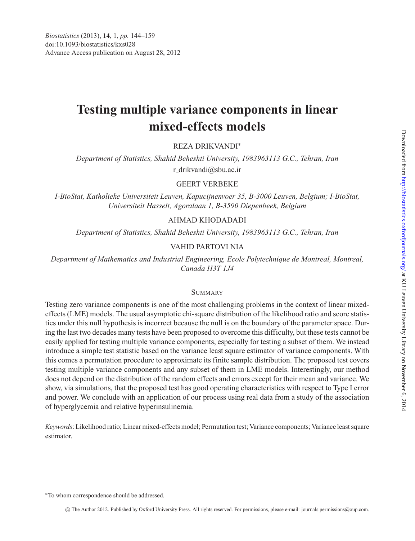# **Testing multiple variance components in linear mixed-effects models**

REZA DRIKVANDI<sup>∗</sup>

*Department of Statistics, Shahid Beheshti University, 1983963113 G.C., Tehran, Iran* r drikvandi@sbu.ac.ir

#### GEERT VERBEKE

*I-BioStat, Katholieke Universiteit Leuven, Kapucijnenvoer 35, B-3000 Leuven, Belgium; I-BioStat, Universiteit Hasselt, Agoralaan 1, B-3590 Diepenbeek, Belgium*

## AHMAD KHODADADI

*Department of Statistics, Shahid Beheshti University, 1983963113 G.C., Tehran, Iran*

#### VAHID PARTOVI NIA

*Department of Mathematics and Industrial Engineering, Ecole Polytechnique de Montreal, Montreal, Canada H3T 1J4*

### **SUMMARY**

Testing zero variance components is one of the most challenging problems in the context of linear mixedeffects (LME) models. The usual asymptotic chi-square distribution of the likelihood ratio and score statistics under this null hypothesis is incorrect because the null is on the boundary of the parameter space. During the last two decades many tests have been proposed to overcome this difficulty, but these tests cannot be easily applied for testing multiple variance components, especially for testing a subset of them. We instead introduce a simple test statistic based on the variance least square estimator of variance components. With this comes a permutation procedure to approximate its finite sample distribution. The proposed test covers testing multiple variance components and any subset of them in LME models. Interestingly, our method does not depend on the distribution of the random effects and errors except for their mean and variance. We show, via simulations, that the proposed test has good operating characteristics with respect to Type I error and power. We conclude with an application of our process using real data from a study of the association of hyperglycemia and relative hyperinsulinemia.

*Keywords*: Likelihood ratio; Linear mixed-effects model; Permutation test; Variance components; Variance least square estimator.

<sup>∗</sup>To whom correspondence should be addressed.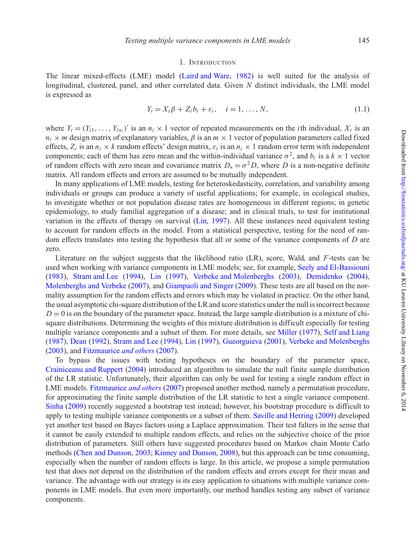#### 1. INTRODUCTION

The linear mixed-effects (LME) model [\(Laird and Ware](#page-14-0), [1982](#page-14-0)) is well suited for the analysis of longitudinal, clustered, panel, and other correlated data. Given *N* distinct individuals, the LME model is expressed as

<span id="page-1-0"></span>
$$
Y_i = X_i \beta + Z_i b_i + \varepsilon_i, \quad i = 1, \dots, N,
$$
\n
$$
(1.1)
$$

where  $Y_i = (Y_{i1}, \ldots, Y_{in_i})'$  is an  $n_i \times 1$  vector of repeated measurements on the *i*th individual,  $X_i$  is an  $n_i \times m$  design matrix of explanatory variables,  $\beta$  is an  $m \times 1$  vector of population parameters called fixed effects,  $Z_i$  is an  $n_i \times k$  random effects' design matrix,  $\varepsilon_i$  is an  $n_i \times 1$  random error term with independent components; each of them has zero mean and the within-individual variance  $\sigma^2$ , and  $b_i$  is a  $k \times 1$  vector of random effects with zero mean and covariance matrix  $D_* = \sigma^2 D$ , where *D* is a non-negative definite matrix. All random effects and errors are assumed to be mutually independent.

In many applications of LME models, testing for heteroskedasticity, correlation, and variability among individuals or groups can produce a variety of useful applications; for example, in ecological studies, to investigate whether or not population disease rates are homogeneous in different regions; in genetic epidemiology, to study familial aggregation of a disease; and in clinical trials, to test for institutional variation in the effects of therapy on survival [\(Lin,](#page-14-1) [1997](#page-14-1)). All these instances need equivalent testing to account for random effects in the model. From a statistical perspective, testing for the need of random effects translates into testing the hypothesis that all or some of the variance components of *D* are zero.

Literature on the subject suggests that the likelihood ratio (LR), score, Wald, and *F*-tests can be used when working with variance components in LME models; see, for example, [Seely and El-Bassiouni](#page-15-0) [\(1983](#page-15-0)), [Stram and Lee](#page-15-1) [\(1994\)](#page-15-1), [Lin](#page-14-1) [\(1997](#page-14-1)), [Verbeke and Molenberghs](#page-15-2) [\(2003](#page-15-2)), [Demidenko](#page-14-2) [\(2004\)](#page-14-2), [Molenberghs and Verbeke](#page-14-3) [\(2007\)](#page-14-3), and [Giampaoli and Singer](#page-14-4) [\(2009](#page-14-4)). These tests are all based on the normality assumption for the random effects and errors which may be violated in practice. On the other hand, the usual asymptotic chi-square distribution of the LR and score statistics under the null is incorrect because  $D = 0$  is on the boundary of the parameter space. Instead, the large sample distribution is a mixture of chisquare distributions. Determining the weights of this mixture distribution is difficult especially for testing multiple variance components and a subset of them. For more details, see [Miller](#page-14-5) [\(1977\)](#page-14-5), [Self and Liang](#page-15-3) [\(1987](#page-15-3)), [Dean](#page-14-6) [\(1992\)](#page-14-6), [Stram and Lee](#page-15-1) [\(1994\)](#page-15-1), [Lin](#page-14-1) [\(1997](#page-14-1)), [Gueorguieva](#page-14-7) [\(2001](#page-14-7)), [Verbeke and Molenberghs](#page-15-2) [\(2003](#page-15-2)), and [Fitzmaurice](#page-14-8) *and others* [\(2007](#page-14-8)).

To bypass the issues with testing hypotheses on the boundary of the parameter space, [Crainiceanu and Ruppert](#page-14-9) [\(2004](#page-14-9)) introduced an algorithm to simulate the null finite sample distribution of the LR statistic. Unfortunately, their algorithm can only be used for testing a single random effect in LME models. [Fitzmaurice](#page-14-8) *and others* [\(2007](#page-14-8)) proposed another method, namely a permutation procedure, for approximating the finite sample distribution of the LR statistic to test a single variance component. [Sinha](#page-15-4) [\(2009\)](#page-15-4) recently suggested a bootstrap test instead; however, his bootstrap procedure is difficult to apply to testing multiple variance components or a subset of them. [Saville and Herring](#page-15-5) [\(2009\)](#page-15-5) developed yet another test based on Bayes factors using a Laplace approximation. Their test falters in the sense that it cannot be easily extended to multiple random effects, and relies on the subjective choice of the prior distribution of parameters. Still others have suggested procedures based on Markov chain Monte Carlo methods [\(Chen and Dunson,](#page-14-10) [2003;](#page-14-10) [Kinney and Dunson](#page-14-11), [2008](#page-14-11)), but this approach can be time consuming, especially when the number of random effects is large. In this article, we propose a simple permutation test that does not depend on the distribution of the random effects and errors except for their mean and variance. The advantage with our strategy is its easy application to situations with multiple variance components in LME models. But even more importantly, our method handles testing any subset of variance components.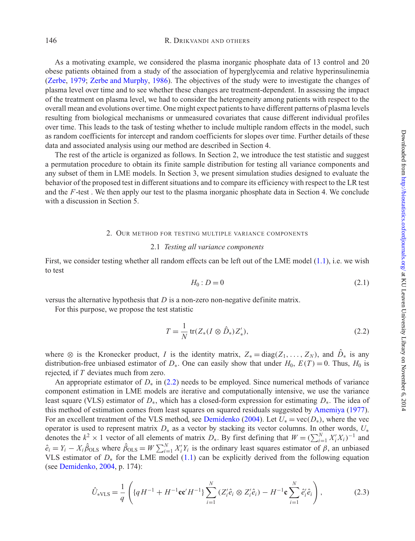As a motivating example, we considered the plasma inorganic phosphate data of 13 control and 20 obese patients obtained from a study of the association of hyperglycemia and relative hyperinsulinemia [\(Zerbe,](#page-15-6) [1979;](#page-15-6) [Zerbe and Murphy](#page-15-7), [1986\)](#page-15-7). The objectives of the study were to investigate the changes of plasma level over time and to see whether these changes are treatment-dependent. In assessing the impact of the treatment on plasma level, we had to consider the heterogeneity among patients with respect to the overall mean and evolutions over time. One might expect patients to have different patterns of plasma levels resulting from biological mechanisms or unmeasured covariates that cause different individual profiles over time. This leads to the task of testing whether to include multiple random effects in the model, such as random coefficients for intercept and random coefficients for slopes over time. Further details of these data and associated analysis using our method are described in Section 4.

The rest of the article is organized as follows. In Section 2, we introduce the test statistic and suggest a permutation procedure to obtain its finite sample distribution for testing all variance components and any subset of them in LME models. In Section 3, we present simulation studies designed to evaluate the behavior of the proposed test in different situations and to compare its efficiency with respect to the LR test and the *F*-test . We then apply our test to the plasma inorganic phosphate data in Section 4. We conclude with a discussion in Section 5.

# 2. OUR METHOD FOR TESTING MULTIPLE VARIANCE COMPONENTS

#### 2.1 *Testing all variance components*

First, we consider testing whether all random effects can be left out of the LME model [\(1.1\)](#page-1-0), i.e. we wish to test

<span id="page-2-2"></span>
$$
H_0: D = 0 \tag{2.1}
$$

versus the alternative hypothesis that *D* is a non-zero non-negative definite matrix.

For this purpose, we propose the test statistic

<span id="page-2-0"></span>
$$
T = \frac{1}{N} \operatorname{tr}(Z_*(I \otimes \hat{D}_*) Z_*'),\tag{2.2}
$$

where  $\otimes$  is the Kronecker product, *I* is the identity matrix,  $Z_* = \text{diag}(Z_1, \ldots, Z_N)$ , and  $\hat{D}_*$  is any distribution-free unbiased estimator of  $D_{*}$ . One can easily show that under  $H_0$ ,  $E(T) = 0$ . Thus,  $H_0$  is rejected, if *T* deviates much from zero.

An appropriate estimator of *D*<sup>∗</sup> in [\(2.2\)](#page-2-0) needs to be employed. Since numerical methods of variance component estimation in LME models are iterative and computationally intensive, we use the variance least square (VLS) estimator of *D*∗, which has a closed-form expression for estimating *D*∗. The idea of this method of estimation comes from least squares on squared residuals suggested by [Amemiya](#page-14-12) [\(1977](#page-14-12)). For an excellent treatment of the VLS method, see [Demidenko](#page-14-2) [\(2004](#page-14-2)). Let  $U_* = \text{vec}(D_*)$ , where the vec operator is used to represent matrix *D*<sup>∗</sup> as a vector by stacking its vector columns. In other words, *U*<sup>∗</sup> denotes the  $k^2 \times 1$  vector of all elements of matrix  $D_*$ . By first defining that  $W = (\sum_{i=1}^N X_i' X_i)^{-1}$  and  $\hat{e}_i = Y_i - X_i \hat{\beta}_{OLS}$  where  $\hat{\beta}_{OLS} = W \sum_{i=1}^N X_i' Y_i$  is the ordinary least squares estimator of  $\beta$ , an unbiased VLS estimator of  $D_*$  for the LME model [\(1.1\)](#page-1-0) can be explicitly derived from the following equation (see [Demidenko](#page-14-2), [2004](#page-14-2), p. 174):

<span id="page-2-1"></span>
$$
\hat{U}_{*VLS} = \frac{1}{q} \left( \{ qH^{-1} + H^{-1} \mathbf{cc}' H^{-1} \} \sum_{i=1}^{N} \left( Z_i' \hat{e}_i \otimes Z_i' \hat{e}_i \right) - H^{-1} \mathbf{c} \sum_{i=1}^{N} \hat{e}_i' \hat{e}_i \right), \tag{2.3}
$$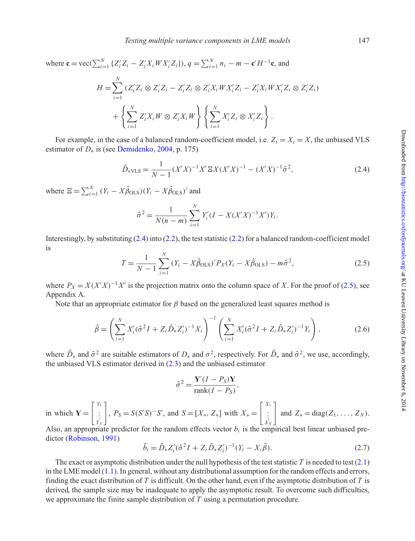where  $\mathbf{c} = \text{vec}(\sum_{i=1}^{N} \{Z_i' Z_i - Z_i' X_i W X_i' Z_i\}), q = \sum_{i=1}^{N} n_i - m - \mathbf{c'} H^{-1} \mathbf{c}$ , and  $H = \sum$ *N i*=1  $(Z_i'Z_i \otimes Z_i'Z_i - Z_i'Z_i \otimes Z_i'X_iWX_i'Z_i - Z_i'X_iWX_i'Z_i \otimes Z_i'Z_i)$  $+\left\{\sum_{i=1}^{N}\right\}$ *i*=1  $Z_i' X_i W \otimes Z_i' X_i W \bigg\} \bigg\{ \sum^N$ *i*=1  $X_i' Z_i \otimes X_i' Z_i$  $\mathcal{L}$ .

For example, in the case of a balanced random-coefficient model, i.e.  $Z_i = X_i = X$ , the unbiased VLS estimator of *D*<sup>∗</sup> is (see [Demidenko,](#page-14-2) [2004,](#page-14-2) p. 175)

<span id="page-3-0"></span>
$$
\hat{D}_{*VLS} = \frac{1}{N-1} (X'X)^{-1} X' \Sigma X (X'X)^{-1} - (X'X)^{-1} \hat{\sigma}^2,
$$
\n(2.4)

where  $\mathbf{E} = \sum_{i=1}^{N} (Y_i - X\hat{\beta}_{OLS})(Y_i - X\hat{\beta}_{OLS})'$  and

$$
\hat{\sigma}^2 = \frac{1}{N(n-m)} \sum_{i=1}^N Y_i'(I - X(X'X)^{-1}X')Y_i.
$$

Interestingly, by substituting  $(2.4)$  into  $(2.2)$ , the test statistic  $(2.2)$  for a balanced random-coefficient model is

<span id="page-3-1"></span>
$$
T = \frac{1}{N-1} \sum_{i=1}^{N} (Y_i - X\hat{\beta}_{OLS})' P_X(Y_i - X\hat{\beta}_{OLS}) - m\hat{\sigma}^2,
$$
 (2.5)

where  $P_X = X(X'X)^{-1}X'$  is the projection matrix onto the column space of *X*. For the proof of [\(2.5\)](#page-3-1), see Appendix A.

Note that an appropriate estimator for  $\beta$  based on the generalized least squares method is

<span id="page-3-2"></span>
$$
\hat{\beta} = \left(\sum_{i=1}^{N} X_i' (\hat{\sigma}^2 I + Z_i \hat{D}_* Z_i')^{-1} X_i\right)^{-1} \left(\sum_{i=1}^{N} X_i' (\hat{\sigma}^2 I + Z_i \hat{D}_* Z_i')^{-1} Y_i\right),\tag{2.6}
$$

where  $\hat{D}_*$  and  $\hat{\sigma}^2$  are suitable estimators of  $D_*$  and  $\sigma^2$ , respectively. For  $\hat{D}_*$  and  $\hat{\sigma}^2$ , we use, accordingly, the unbiased VLS estimator derived in  $(2.3)$  and the unbiased estimator

$$
\hat{\sigma}^2 = \frac{\mathbf{Y}'(I - P_S)\mathbf{Y}}{\text{rank}(I - P_S)},
$$

in which  $Y =$  $\begin{bmatrix} Y_1 \\ \vdots \\ Y_N \end{bmatrix}$ ,  $P_S = S(S'S')^{-}S'$ , and  $S = [X_*, Z_*]$  with  $X_* =$  $\begin{bmatrix} X_1 \\ \vdots \\ X_N \end{bmatrix}$ 1 and  $Z_* = diag(Z_1, ..., Z_N)$ .

Also, an appropriate predictor for the random effects vector  $b_i$  is the empirical best linear unbiased predictor [\(Robinson](#page-15-8), [1991](#page-15-8))

<span id="page-3-3"></span>
$$
\hat{b}_i = \hat{D}_* Z_i' (\hat{\sigma}^2 I + Z_i \hat{D}_* Z_i')^{-1} (Y_i - X_i \hat{\beta}).
$$
\n(2.7)

The exact or asymptotic distribution under the null hypothesis of the test statistic *T* is needed to test [\(2.1\)](#page-2-2) in the LME model [\(1.1\)](#page-1-0). In general, without any distributional assumption for the random effects and errors, finding the exact distribution of *T* is difficult. On the other hand, even if the asymptotic distribution of *T* is derived, the sample size may be inadequate to apply the asymptotic result. To overcome such difficulties, we approximate the finite sample distribution of *T* using a permutation procedure.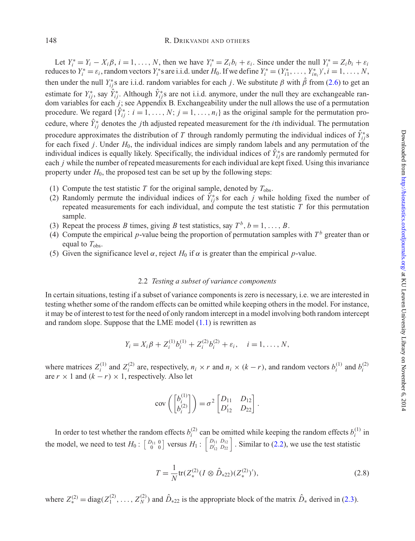Let  $Y_i^* = Y_i - X_i \beta$ ,  $i = 1, ..., N$ , then we have  $Y_i^* = Z_i b_i + \varepsilon_i$ . Since under the null  $Y_i^* = Z_i b_i + \varepsilon_i$ reduces to  $Y_i^* = \varepsilon_i$ , random vectors  $Y_i^*$ s are i.i.d. under  $H_0$ . If we define  $Y_i^* = (Y_{i1}^*, \dots, Y_{in_i}^*)'$ ,  $i = 1, \dots, N$ , then under the null *Y*<sup>\*</sup><sub>*i*</sub>s are i.i.d. random variables for each *j*. We substitute  $\beta$  with  $\hat{\beta}$  from [\(2.6\)](#page-3-2) to get an estimate for  $Y_{ij}^*$ , say  $\hat{Y}_{ij}^*$ . Although  $\hat{Y}_{ij}^*$ s are not i.i.d. anymore, under the null they are exchangeable random variables for each *j*; see Appendix B. Exchangeability under the null allows the use of a permutation procedure. We regard  $\{\hat{Y}_{ij}^* : i = 1, ..., N; j = 1, ..., n_i\}$  as the original sample for the permutation procedure, where  $\hat{Y}_{ij}^*$  denotes the *j*th adjusted repeated measurement for the *i*th individual. The permutation procedure approximates the distribution of *T* through randomly permuting the individual indices of  $\hat{Y}^*_{ij}$ s for each fixed *j*. Under *H*0, the individual indices are simply random labels and any permutation of the individual indices is equally likely. Specifically, the individual indices of  $\hat{Y}_{ij}^*$ s are randomly permuted for each *j* while the number of repeated measurements for each individual are kept fixed. Using this invariance property under  $H_0$ , the proposed test can be set up by the following steps:

- (1) Compute the test statistic *T* for the original sample, denoted by  $T_{obs}$ .
- (2) Randomly permute the individual indices of  $\hat{Y}_{ij}^*$ s for each *j* while holding fixed the number of repeated measurements for each individual, and compute the test statistic *T* for this permutation sample.
- (3) Repeat the process *B* times, giving *B* test statistics, say  $T^b$ ,  $b = 1, \ldots, B$ .
- (4) Compute the empirical *p*-value being the proportion of permutation samples with  $T<sup>b</sup>$  greater than or equal to  $T_{\text{obs}}$ .
- (5) Given the significance level  $\alpha$ , reject  $H_0$  if  $\alpha$  is greater than the empirical *p*-value.

#### 2.2 *Testing a subset of variance components*

In certain situations, testing if a subset of variance components is zero is necessary, i.e. we are interested in testing whether some of the random effects can be omitted while keeping others in the model. For instance, it may be of interest to test for the need of only random intercept in a model involving both random intercept and random slope. Suppose that the LME model  $(1.1)$  is rewritten as

$$
Y_i = X_i \beta + Z_i^{(1)} b_i^{(1)} + Z_i^{(2)} b_i^{(2)} + \varepsilon_i, \quad i = 1, ..., N,
$$

where matrices  $Z_i^{(1)}$  and  $Z_i^{(2)}$  are, respectively,  $n_i \times r$  and  $n_i \times (k - r)$ , and random vectors  $b_i^{(1)}$  and  $b_i^{(2)}$ are  $r \times 1$  and  $(k - r) \times 1$ , respectively. Also let

$$
cov\left(\begin{bmatrix}b_i^{(1)}\\b_i^{(2)}\end{bmatrix}\right) = \sigma^2 \begin{bmatrix}D_{11} & D_{12}\\D'_{12} & D_{22}\end{bmatrix}
$$

In order to test whether the random effects  $b_i^{(2)}$  can be omitted while keeping the random effects  $b_i^{(1)}$  in the model, we need to test  $H_0: \begin{bmatrix} D_{11} & 0 \ 0 & 0 \end{bmatrix}$  versus  $H_1: \begin{bmatrix} D_{11} & D_{12} \ D'_{12} & D_{22} \end{bmatrix}$ . Similar to [\(2.2\)](#page-2-0), we use the test statistic

<span id="page-4-0"></span>
$$
T = \frac{1}{N} \text{tr}(Z_*^{(2)}(I \otimes \hat{D}_{*22})(Z_*^{(2)})'),\tag{2.8}
$$

.

where  $Z^{(2)}_* = \text{diag}(Z^{(2)}_1, \dots, Z^{(2)}_N)$  and  $\hat{D}_{*22}$  is the appropriate block of the matrix  $\hat{D}_*$  derived in [\(2.3\)](#page-2-1).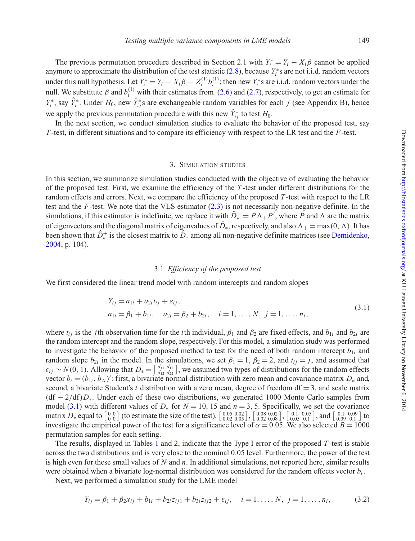The previous permutation procedure described in Section 2.1 with  $Y_i^* = Y_i - X_i \beta$  cannot be applied anymore to approximate the distribution of the test statistic  $(2.8)$ , because  $Y_i^*$ s are not i.i.d. random vectors under this null hypothesis. Let  $Y_i^* = Y_i - X_i \beta - Z_i^{(1)} b_i^{(1)}$ ; then new  $Y_i^*$ s are i.i.d. random vectors under the null. We substitute  $\beta$  and  $b_i^{(1)}$  with their estimates from [\(2.6\)](#page-3-2) and [\(2.7\)](#page-3-3), respectively, to get an estimate for  $Y_i^*$ , say  $\hat{Y}_i^*$ . Under  $H_0$ , new  $\hat{Y}_{ij}^*$ s are exchangeable random variables for each *j* (see Appendix B), hence we apply the previous permutation procedure with this new  $\hat{Y}_{ij}^*$  to test  $H_0$ .

In the next section, we conduct simulation studies to evaluate the behavior of the proposed test, say *T* -test, in different situations and to compare its efficiency with respect to the LR test and the *F*-test.

#### 3. SIMULATION STUDIES

In this section, we summarize simulation studies conducted with the objective of evaluating the behavior of the proposed test. First, we examine the efficiency of the *T* -test under different distributions for the random effects and errors. Next, we compare the efficiency of the proposed *T* -test with respect to the LR test and the *F*-test. We note that the VLS estimator [\(2.3\)](#page-2-1) is not necessarily non-negative definite. In the simulations, if this estimator is indefinite, we replace it with  $\hat{D}^+_* = P\Lambda_+ P'$ , where  $P$  and  $\Lambda$  are the matrix of eigenvectors and the diagonal matrix of eigenvalues of  $\hat{D}_*$ , respectively, and also  $\Lambda_+ = \max(0, \Lambda)$ . It has been shown that  $\hat{D}^+_*$  is the closest matrix to  $\hat{D}_*$  among all non-negative definite matrices (see [Demidenko,](#page-14-2) [2004,](#page-14-2) p. 104).

# 3.1 *Efficiency of the proposed test*

We first considered the linear trend model with random intercepts and random slopes

<span id="page-5-0"></span>
$$
Y_{ij} = a_{1i} + a_{2i}t_{ij} + \varepsilon_{ij},
$$
  
\n
$$
a_{1i} = \beta_1 + b_{1i}, \quad a_{2i} = \beta_2 + b_{2i}, \quad i = 1, ..., N, j = 1, ..., n_i,
$$
\n(3.1)

where  $t_{ij}$  is the *j*th observation time for the *i*th individual,  $\beta_1$  and  $\beta_2$  are fixed effects, and  $b_{1i}$  and  $b_{2i}$  are the random intercept and the random slope, respectively. For this model, a simulation study was performed to investigate the behavior of the proposed method to test for the need of both random intercept  $b_{1i}$  and random slope  $b_{2i}$  in the model. In the simulations, we set  $\beta_1 = 1$ ,  $\beta_2 = 2$ , and  $t_{ij} = j$ , and assumed that  $\varepsilon_{ij} \sim N(0, 1)$ . Allowing that  $D_* = \begin{bmatrix} d_{11} & d_{12} \\ d_{12} & d_{22} \end{bmatrix}$ , we assumed two types of distributions for the random effects vector  $b_i = (b_{1i}, b_{2i})'$ : first, a bivariate normal distribution with zero mean and covariance matrix  $D_*$  and, second, a bivariate Student's  $t$  distribution with a zero mean, degree of freedom  $df = 3$ , and scale matrix (df − 2/df)*D*∗. Under each of these two distributions, we generated 1000 Monte Carlo samples from model [\(3.1\)](#page-5-0) with different values of  $D_*$  for  $N = 10$ , 15 and  $n = 3$ , 5. Specifically, we set the covariance matrix  $D_*$  equal to  $\begin{bmatrix} 0 & 0 \ 0 & 0 \end{bmatrix}$  (to estimate the size of the test),  $\begin{bmatrix} 0.05 & 0.02 \ 0.02 & 0.05 \end{bmatrix}$ ,  $\begin{bmatrix} 0.08 & 0.02 \ 0.02 & 0.08 \end{bmatrix}$ ,  $\begin{bmatrix} 0.1 & 0.05 \ 0.05 & 0.1 \end{bmatrix}$ , and  $\begin{bmatrix} 0.1 & 0.09 \$ investigate the empirical power of the test for a significance level of  $\alpha = 0.05$ . We also selected  $B = 1000$ permutation samples for each setting.

The results, displayed in Tables [1](#page-6-0) and [2,](#page-6-1) indicate that the Type I error of the proposed *T* -test is stable across the two distributions and is very close to the nominal 0.05 level. Furthermore, the power of the test is high even for these small values of *N* and *n*. In additional simulations, not reported here, similar results were obtained when a bivariate log-normal distribution was considered for the random effects vector *bi* .

Next, we performed a simulation study for the LME model

<span id="page-5-1"></span>
$$
Y_{ij} = \beta_1 + \beta_2 x_{ij} + b_{1i} + b_{2i} z_{ij1} + b_{3i} z_{ij2} + \varepsilon_{ij}, \quad i = 1, ..., N, \ j = 1, ..., n_i,
$$
 (3.2)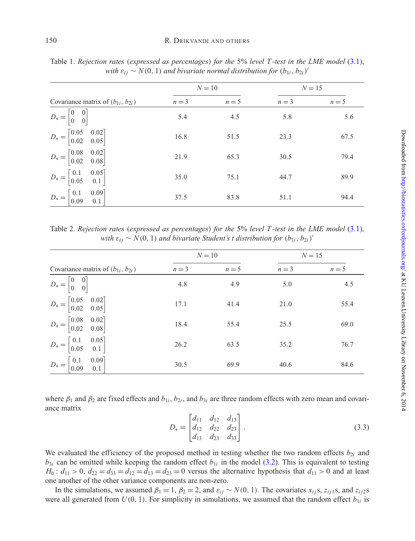|                                                                  |         | $N=10$ | $N = 15$ |         |
|------------------------------------------------------------------|---------|--------|----------|---------|
| Covariance matrix of $(b_{1i}, b_{2i})$                          | $n = 3$ | $n=5$  | $n=3$    | $n = 5$ |
| $D_* = \begin{bmatrix} 0 & 0 \\ 0 & 0 \end{bmatrix}$             | 5.4     | 4.5    | 5.8      | 5.6     |
| $D_* = \begin{bmatrix} 0.05 & 0.02 \\ 0.02 & 0.05 \end{bmatrix}$ | 16.8    | 51.5   | 23.3     | 67.5    |
| $D_* = \begin{bmatrix} 0.08 & 0.02 \\ 0.02 & 0.08 \end{bmatrix}$ | 21.9    | 65.3   | 30.5     | 79.4    |
| $D_* = \begin{bmatrix} 0.1 & 0.05 \\ 0.05 & 0.1 \end{bmatrix}$   | 35.0    | 75.1   | 44.7     | 89.9    |
| $D_* = \begin{bmatrix} 0.1 & 0.09 \\ 0.09 & 0.1 \end{bmatrix}$   | 37.5    | 83.8   | 51.1     | 94.4    |

<span id="page-6-0"></span>Table 1. *Rejection rates* (*expressed as percentages*) *for the* 5% *level T -test in the LME model* [\(3.1\)](#page-5-0), *with*  $\varepsilon_{ij} \sim N(0, 1)$  *and bivariate normal distribution for*  $(b_{1i}, b_{2i})'$ 

<span id="page-6-1"></span>Table 2. *Rejection rates* (*expressed as percentages*) *for the* 5% *level T -test in the LME model* [\(3.1\)](#page-5-0), *with*  $\varepsilon_{ij} \sim N(0, 1)$  *and bivariate Student's t distribution for*  $(b_{1i}, b_{2i})'$ 

|                                                                                                  | $N=10$  |         | $N = 15$ |       |
|--------------------------------------------------------------------------------------------------|---------|---------|----------|-------|
| Covariance matrix of $(b_{1i}, b_{2i})$                                                          | $n = 3$ | $n = 5$ | $n = 3$  | $n=5$ |
| $D_* = \begin{bmatrix} 0 & 0 \\ 0 & 0 \end{bmatrix}$                                             | 4.8     | 4.9     | 5.0      | 4.5   |
| $D_* = \begin{bmatrix} 0.05 & 0.02 \\ 0.02 & 0.05 \end{bmatrix}$                                 | 17.1    | 41.4    | 21.0     | 55.4  |
| $D_* = \begin{bmatrix} 0.08 & 0.02 \\ 0.02 & 0.08 \end{bmatrix}$                                 | 18.4    | 55.4    | 25.5     | 69.0  |
| $D_* = \begin{bmatrix} 0.1 & 0.05 \\ 0.05 & 0.1 \end{bmatrix}$                                   | 26.2    | 63.5    | 35.2     | 76.7  |
| $\begin{bmatrix} 0.09 \\ 0.1 \end{bmatrix}$<br>$D_* = \begin{bmatrix} 0.1 \\ 0.09 \end{bmatrix}$ | 30.5    | 69.9    | 40.6     | 84.6  |

where  $\beta_1$  and  $\beta_2$  are fixed effects and  $b_{1i}$ ,  $b_{2i}$ , and  $b_{3i}$  are three random effects with zero mean and covariance matrix

<span id="page-6-2"></span>
$$
D_* = \begin{bmatrix} d_{11} & d_{12} & d_{13} \\ d_{12} & d_{22} & d_{23} \\ d_{13} & d_{23} & d_{33} \end{bmatrix} .
$$
 (3.3)

We evaluated the efficiency of the proposed method in testing whether the two random effects  $b_{2i}$  and  $b_{3i}$  can be omitted while keeping the random effect  $b_{1i}$  in the model [\(3.2\)](#page-5-1). This is equivalent to testing *H*<sub>0</sub> :  $d_{11} > 0$ ,  $d_{22} = d_{33} = d_{12} = d_{13} = d_{23} = 0$  versus the alternative hypothesis that  $d_{11} > 0$  and at least one another of the other variance components are non-zero.

In the simulations, we assumed  $\beta_1 = 1$ ,  $\beta_2 = 2$ , and  $\varepsilon_{ij} \sim N(0, 1)$ . The covariates  $x_{ij}$ s,  $z_{ij1}$ s, and  $z_{ij2}$ s were all generated from  $U(0, 1)$ . For simplicity in simulations, we assumed that the random effect  $b_{1i}$  is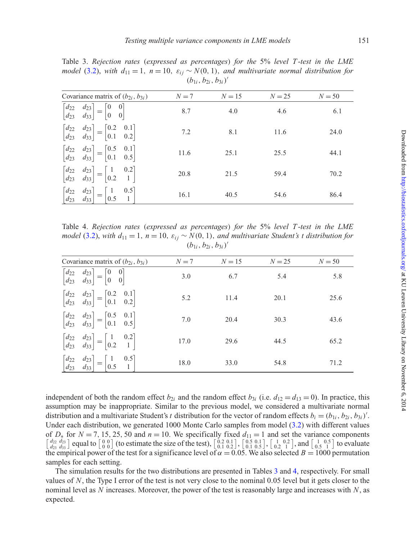|                                                  | Covariance matrix of $(b_{2i}, b_{3i})$                                                                                   |       |          |          |          |
|--------------------------------------------------|---------------------------------------------------------------------------------------------------------------------------|-------|----------|----------|----------|
|                                                  |                                                                                                                           | $N=7$ | $N = 15$ | $N = 25$ | $N = 50$ |
| $\begin{bmatrix} d_{22} \\ d_{23} \end{bmatrix}$ | $\begin{bmatrix} d_{23} \\ d_{33} \end{bmatrix} = \begin{bmatrix} 0 & 0 \\ 0 & 0 \end{bmatrix}$                           | 8.7   | 4.0      | 4.6      | 6.1      |
|                                                  | $\begin{bmatrix} d_{22} & d_{23} \\ d_{23} & d_{33} \end{bmatrix} = \begin{bmatrix} 0.2 & 0.1 \\ 0.1 & 0.2 \end{bmatrix}$ | 7.2   | 8.1      | 11.6     | 24.0     |
|                                                  | $\begin{bmatrix} d_{22} & d_{23} \\ d_{23} & d_{33} \end{bmatrix} = \begin{bmatrix} 0.5 & 0.1 \\ 0.1 & 0.5 \end{bmatrix}$ | 11.6  | 25.1     | 25.5     | 44.1     |
|                                                  | $\begin{bmatrix} d_{22} & d_{23} \\ d_{23} & d_{33} \end{bmatrix} = \begin{bmatrix} 1 & 0.2 \\ 0.2 & 1 \end{bmatrix}$     | 20.8  | 21.5     | 59.4     | 70.2     |
| $\begin{bmatrix} d_{22} \\ d_{23} \end{bmatrix}$ | $\begin{bmatrix} 1 & 0.5 \\ 0.5 & 1 \end{bmatrix}$<br>$\begin{bmatrix} d_{23} \\ d_{33} \end{bmatrix} =$                  | 16.1  | 40.5     | 54.6     | 86.4     |

<span id="page-7-0"></span>Table 3. *Rejection rates* (*expressed as percentages*) *for the* 5% *level T -test in the LME model* [\(3.2\)](#page-5-1), *with*  $d_{11} = 1$ ,  $n = 10$ ,  $\varepsilon_{ij} \sim N(0, 1)$ , *and multivariate normal distribution for*  $(b_{1i}, b_{2i}, b_{3i})'$ 

<span id="page-7-1"></span>Table 4. *Rejection rates* (*expressed as percentages*) *for the* 5% *level T -test in the LME model* [\(3.2\)](#page-5-1), *with*  $d_{11} = 1$ ,  $n = 10$ ,  $\varepsilon_{ij} \sim N(0, 1)$ , *and multivariate Student's t distribution for*  $(b_{1i}, b_{2i}, b_{3i})'$ 

| Covariance matrix of $(b_{2i}, b_{3i})$                                                                                   | $N=7$ | $N = 15$ | $N = 25$ | $N = 50$ |
|---------------------------------------------------------------------------------------------------------------------------|-------|----------|----------|----------|
| $\begin{bmatrix} d_{22} & d_{23} \\ d_{23} & d_{33} \end{bmatrix} = \begin{bmatrix} 0 & 0 \\ 0 & 0 \end{bmatrix}$         | 3.0   | 6.7      | 5.4      | 5.8      |
| $\begin{bmatrix} d_{22} & d_{23} \\ d_{23} & d_{33} \end{bmatrix} = \begin{bmatrix} 0.2 & 0.1 \\ 0.1 & 0.2 \end{bmatrix}$ | 5.2   | 11.4     | 20.1     | 25.6     |
| $\begin{bmatrix} d_{22} & d_{23} \\ d_{23} & d_{33} \end{bmatrix} = \begin{bmatrix} 0.5 & 0.1 \\ 0.1 & 0.5 \end{bmatrix}$ | 7.0   | 20.4     | 30.3     | 43.6     |
| $\begin{bmatrix} d_{22} & d_{23} \\ d_{23} & d_{33} \end{bmatrix} = \begin{bmatrix} 1 & 0.2 \\ 0.2 & 1 \end{bmatrix}$     | 17.0  | 29.6     | 44.5     | 65.2     |
| $\begin{bmatrix} d_{22} & d_{23} \\ d_{23} & d_{33} \end{bmatrix} = \begin{bmatrix} 1 & 0.5 \\ 0.5 & 1 \end{bmatrix}$     | 18.0  | 33.0     | 54.8     | 71.2     |

independent of both the random effect *b*<sub>2*i*</sub> and the random effect *b*<sub>3*i*</sub> (i.e.  $d_{12} = d_{13} = 0$ ). In practice, this assumption may be inappropriate. Similar to the previous model, we considered a multivariate normal distribution and a multivariate Student's *t* distribution for the vector of random effects  $b_i = (b_{1i}, b_{2i}, b_{3i})'$ . Under each distribution, we generated 1000 Monte Carlo samples from model [\(3.2\)](#page-5-1) with different values of  $D_*$  for  $N = 7$ , 15, 25, 50 and  $n = 10$ . We specifically fixed  $d_{11} = 1$  and set the variance components  $\begin{bmatrix} d_{22} & d_{23} \\ d_{23} & d_{33} \end{bmatrix}$  equal to  $\begin{bmatrix} 0 & 0 \\ 0 & 0 \end{bmatrix}$  (to estimate the size of the test),  $\begin{bmatrix} 0.2 & 0.1 \\ 0.1 & 0.2 \end{bmatrix}$ ,  $\begin{bmatrix} 0.5 & 0.1 \\ 0.1 & 0.5 \end{bmatrix}$ ,  $\begin{bmatrix} 1 & 0.2 \\ 0.2 & 1 \end{bmatrix}$ , and  $\begin{bmatrix}$ the empirical power of the test for a significance level of  $\alpha = 0.05$ . We also selected  $B = 1000$  permutation samples for each setting.

The simulation results for the two distributions are presented in Tables [3](#page-7-0) and [4,](#page-7-1) respectively. For small values of *N*, the Type I error of the test is not very close to the nominal 0.05 level but it gets closer to the nominal level as *N* increases. Moreover, the power of the test is reasonably large and increases with *N*, as expected.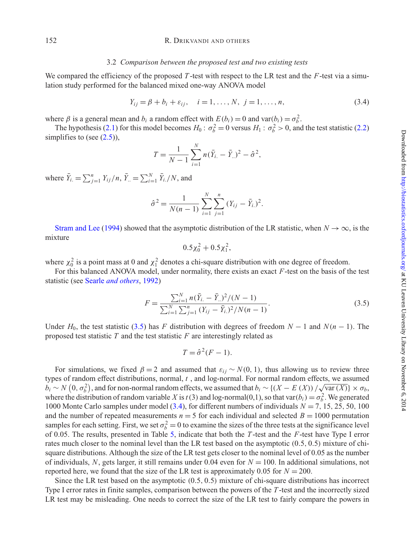#### 3.2 *Comparison between the proposed test and two existing tests*

We compared the efficiency of the proposed *T*-test with respect to the LR test and the *F*-test via a simulation study performed for the balanced mixed one-way ANOVA model

<span id="page-8-1"></span>
$$
Y_{ij} = \beta + b_i + \varepsilon_{ij}, \quad i = 1, ..., N, \ j = 1, ..., n,
$$
 (3.4)

where  $\beta$  is a general mean and  $b_i$  a random effect with  $E(b_i) = 0$  and var $(b_i) = \sigma_b^2$ .

The hypothesis [\(2.1\)](#page-2-2) for this model becomes  $H_0: \sigma_b^2 = 0$  versus  $H_1: \sigma_b^2 > 0$ , and the test statistic [\(2.2\)](#page-2-0) simplifies to (see  $(2.5)$ ),

$$
T = \frac{1}{N-1} \sum_{i=1}^{N} n(\bar{Y}_{i.} - \bar{Y}_{..})^2 - \hat{\sigma}^2,
$$

where  $\bar{Y}_{i.} = \sum_{j=1}^{n} Y_{ij} / n$ ,  $\bar{Y}_{..} = \sum_{i=1}^{N} \bar{Y}_{i.} / N$ , and

$$
\hat{\sigma}^2 = \frac{1}{N(n-1)} \sum_{i=1}^N \sum_{j=1}^n (Y_{ij} - \bar{Y}_{i.})^2.
$$

[Stram and Lee](#page-15-1) [\(1994\)](#page-15-1) showed that the asymptotic distribution of the LR statistic, when  $N \to \infty$ , is the mixture

$$
0.5\chi_0^2 + 0.5\chi_1^2,
$$

where  $\chi_0^2$  is a point mass at 0 and  $\chi_1^2$  denotes a chi-square distribution with one degree of freedom.

For this balanced ANOVA model, under normality, there exists an exact *F*-test on the basis of the test statistic (see Searle *[and others](#page-15-9)*, [1992](#page-15-9))

<span id="page-8-0"></span>
$$
F = \frac{\sum_{i=1}^{N} n(\bar{Y}_{i.} - \bar{Y}_{..})^2 / (N-1)}{\sum_{i=1}^{N} \sum_{j=1}^{n} (Y_{ij} - \bar{Y}_{i.})^2 / N(n-1)}.
$$
\n(3.5)

Under  $H_0$ , the test statistic [\(3.5\)](#page-8-0) has *F* distribution with degrees of freedom  $N-1$  and  $N(n-1)$ . The proposed test statistic *T* and the test statistic *F* are interestingly related as

$$
T = \hat{\sigma}^2 (F - 1).
$$

For simulations, we fixed  $\beta = 2$  and assumed that  $\varepsilon_{ii} \sim N(0, 1)$ , thus allowing us to review three types of random effect distributions, normal, *t* , and log-normal. For normal random effects, we assumed *b*<sub>*i*</sub> ∼ *N*  $(0, \sigma_b^2)$ , and for non-normal random effects, we assumed that  $b_i$  ∼ { $(X - E(X)) / \sqrt{\text{var}(X)} \times \sigma_b$ , where the distribution of random variable *X* is *t*(3) and log-normal(0,1), so that var( $b_i$ ) =  $\sigma_b^2$ . We generated 1000 Monte Carlo samples under model [\(3.4\)](#page-8-1), for different numbers of individuals *N* = 7, 15, 25, 50, 100 and the number of repeated measurements  $n = 5$  for each individual and selected  $B = 1000$  permutation samples for each setting. First, we set  $\sigma_b^2 = 0$  to examine the sizes of the three tests at the significance level of 0.05. The results, presented in Table [5,](#page-9-0) indicate that both the *T* -test and the *F*-test have Type I error rates much closer to the nominal level than the LR test based on the asymptotic (0.5, 0.5) mixture of chisquare distributions. Although the size of the LR test gets closer to the nominal level of 0.05 as the number of individuals, *N*, gets larger, it still remains under 0.04 even for *N* = 100. In additional simulations, not reported here, we found that the size of the LR test is approximately 0.05 for  $N = 200$ .

Since the LR test based on the asymptotic (0.5, 0.5) mixture of chi-square distributions has incorrect Type I error rates in finite samples, comparison between the powers of the *T* -test and the incorrectly sized LR test may be misleading. One needs to correct the size of the LR test to fairly compare the powers in

$$
\begin{array}{c}\n\mathbf{c} \\
\mathbf{d} \\
\mathbf{b} \\
\mathbf{b} \\
\mathbf{0}\n\end{array}
$$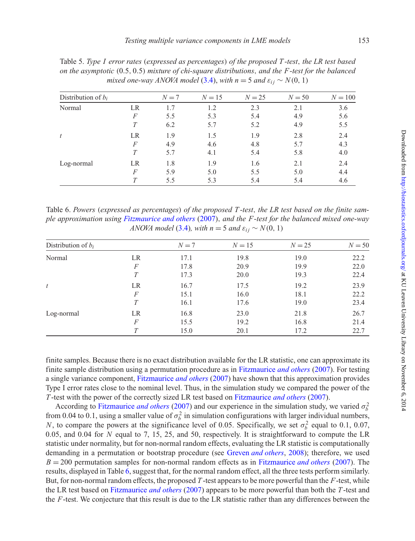| Distribution of $b_i$ |           | $N=7$ | $N=15$ | $N = 25$ | $N = 50$ | $N = 100$ |
|-----------------------|-----------|-------|--------|----------|----------|-----------|
| Normal                | LR        | 1.7   | 1.2    | 2.3      | 2.1      | 3.6       |
|                       | F         | 5.5   | 5.3    | 5.4      | 4.9      | 5.6       |
|                       |           | 6.2   | 5.7    | 5.2      | 4.9      | 5.5       |
| t                     | <b>LR</b> | 1.9   | 1.5    | 1.9      | 2.8      | 2.4       |
|                       | F         | 4.9   | 4.6    | 4.8      | 5.7      | 4.3       |
|                       | T         | 5.7   | 4.1    | 5.4      | 5.8      | 4.0       |
| Log-normal            | <b>LR</b> | 1.8   | 1.9    | 1.6      | 2.1      | 2.4       |
|                       | F         | 5.9   | 5.0    | 5.5      | 5.0      | 4.4       |
|                       | T         | 5.5   | 5.3    | 5.4      | 5.4      | 4.6       |

<span id="page-9-0"></span>Table 5. *Type I error rates* (*expressed as percentages*) *of the proposed T -test*, *the LR test based on the asymptotic* (0.5, 0.5) *mixture of chi-square distributions*, *and the F -test for the balanced mixed one-way ANOVA model* [\(3.4\)](#page-8-1), *with*  $n = 5$  *and*  $\varepsilon_{ii} \sim N(0, 1)$ 

<span id="page-9-1"></span>Table 6. *Powers* (*expressed as percentages*) *of the proposed T -test*, *the LR test based on the finite sample approximation using [Fitzmaurice and others](#page-14-8)* [\(2007](#page-14-8)), *and the F -test for the balanced mixed one-way ANOVA model* [\(3.4\)](#page-8-1)*, with*  $n = 5$  *and*  $\varepsilon_{ij} \sim N(0, 1)$ 

| Distribution of $b_i$ |                | $N=7$ | $N=15$ | $N = 25$ | $N = 50$ |
|-----------------------|----------------|-------|--------|----------|----------|
| Normal                | LR             | 17.1  | 19.8   | 19.0     | 22.2     |
|                       | F              | 17.8  | 20.9   | 19.9     | 22.0     |
|                       | T              | 17.3  | 20.0   | 19.3     | 22.4     |
| t                     | LR             | 16.7  | 17.5   | 19.2     | 23.9     |
|                       | F              | 15.1  | 16.0   | 18.1     | 22.2     |
|                       | T              | 16.1  | 17.6   | 19.0     | 23.4     |
| Log-normal            | LR             | 16.8  | 23.0   | 21.8     | 26.7     |
|                       | $\overline{F}$ | 15.5  | 19.2   | 16.8     | 21.4     |
|                       | T              | 15.0  | 20.1   | 17.2     | 22.7     |

finite samples. Because there is no exact distribution available for the LR statistic, one can approximate its finite sample distribution using a permutation procedure as in [Fitzmaurice](#page-14-8) *and others* [\(2007](#page-14-8)). For testing a single variance component, [Fitzmaurice](#page-14-8) *and others* [\(2007\)](#page-14-8) have shown that this approximation provides Type I error rates close to the nominal level. Thus, in the simulation study we compared the power of the *T* -test with the power of the correctly sized LR test based on [Fitzmaurice](#page-14-8) *and others* [\(2007\)](#page-14-8).

According to [Fitzmaurice](#page-14-8) *and others* [\(2007\)](#page-14-8) and our experience in the simulation study, we varied  $\sigma_b^2$ from 0.04 to 0.1, using a smaller value of  $\sigma_b^2$  in simulation configurations with larger individual numbers, *N*, to compare the powers at the significance level of 0.05. Specifically, we set  $\sigma_b^2$  equal to 0.1, 0.07, 0.05, and 0.04 for *N* equal to 7, 15, 25, and 50, respectively. It is straightforward to compute the LR statistic under normality, but for non-normal random effects, evaluating the LR statistic is computationally demanding in a permutation or bootstrap procedure (see Greven *[and others](#page-14-13)*, [2008\)](#page-14-13); therefore, we used *B* = 200 permutation samples for non-normal random effects as in [Fitzmaurice](#page-14-8) *and others* [\(2007\)](#page-14-8). The results, displayed in Table [6,](#page-9-1) suggest that, for the normal random effect, all the three tests perform similarly. But, for non-normal random effects, the proposed *T* -test appears to be more powerful than the *F*-test, while the LR test based on [Fitzmaurice](#page-14-8) *and others* [\(2007](#page-14-8)) appears to be more powerful than both the *T* -test and the *F*-test. We conjecture that this result is due to the LR statistic rather than any differences between the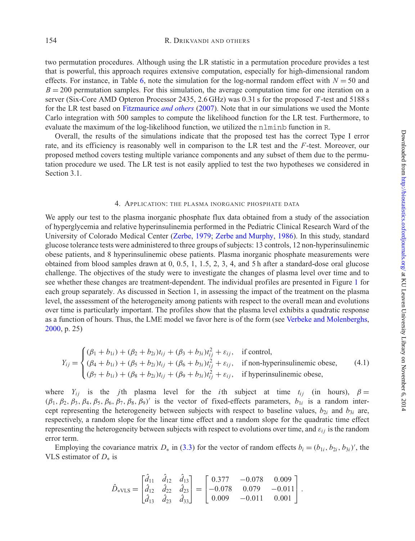two permutation procedures. Although using the LR statistic in a permutation procedure provides a test that is powerful, this approach requires extensive computation, especially for high-dimensional random effects. For instance, in Table [6,](#page-9-1) note the simulation for the log-normal random effect with  $N = 50$  and  $B = 200$  permutation samples. For this simulation, the average computation time for one iteration on a server (Six-Core AMD Opteron Processor 2435, 2.6 GHz) was 0.31 s for the proposed *T* -test and 5188 s for the LR test based on [Fitzmaurice](#page-14-8) *and others* [\(2007\)](#page-14-8). Note that in our simulations we used the Monte Carlo integration with 500 samples to compute the likelihood function for the LR test. Furthermore, to evaluate the maximum of the log-likelihood function, we utilized the nlminb function in R.

Overall, the results of the simulations indicate that the proposed test has the correct Type I error rate, and its efficiency is reasonably well in comparison to the LR test and the *F*-test. Moreover, our proposed method covers testing multiple variance components and any subset of them due to the permutation procedure we used. The LR test is not easily applied to test the two hypotheses we considered in Section 3.1.

#### 4. APPLICATION: THE PLASMA INORGANIC PHOSPHATE DATA

We apply our test to the plasma inorganic phosphate flux data obtained from a study of the association of hyperglycemia and relative hyperinsulinemia performed in the Pediatric Clinical Research Ward of the University of Colorado Medical Center [\(Zerbe](#page-15-6), [1979;](#page-15-6) [Zerbe and Murphy](#page-15-7), [1986\)](#page-15-7). In this study, standard glucose tolerance tests were administered to three groups of subjects: 13 controls, 12 non-hyperinsulinemic obese patients, and 8 hyperinsulinemic obese patients. Plasma inorganic phosphate measurements were obtained from blood samples drawn at 0, 0.5, 1, 1.5, 2, 3, 4, and 5 h after a standard-dose oral glucose challenge. The objectives of the study were to investigate the changes of plasma level over time and to see whether these changes are treatment-dependent. The individual profiles are presented in Figure [1](#page-11-0) for each group separately. As discussed in Section 1, in assessing the impact of the treatment on the plasma level, the assessment of the heterogeneity among patients with respect to the overall mean and evolutions over time is particularly important. The profiles show that the plasma level exhibits a quadratic response as a function of hours. Thus, the LME model we favor here is of the form (see [Verbeke and Molenberghs](#page-15-10), [2000](#page-15-10), p. 25)

<span id="page-10-0"></span>
$$
Y_{ij} = \begin{cases} (\beta_1 + b_{1i}) + (\beta_2 + b_{2i})t_{ij} + (\beta_3 + b_{3i})t_{ij}^2 + \varepsilon_{ij}, & \text{if control,} \\ (\beta_4 + b_{1i}) + (\beta_5 + b_{2i})t_{ij} + (\beta_6 + b_{3i})t_{ij}^2 + \varepsilon_{ij}, & \text{if non-hyperinsulinemic obese,} \\ (\beta_7 + b_{1i}) + (\beta_8 + b_{2i})t_{ij} + (\beta_9 + b_{3i})t_{ij}^2 + \varepsilon_{ij}, & \text{if hyperinsulinemic obese,} \end{cases}
$$
(4.1)

where  $Y_{ij}$  is the *j*th plasma level for the *i*th subject at time  $t_{ij}$  (in hours),  $\beta =$  $(\beta_1, \beta_2, \beta_3, \beta_4, \beta_5, \beta_6, \beta_7, \beta_8, \beta_9)'$  is the vector of fixed-effects parameters,  $b_{1i}$  is a random intercept representing the heterogeneity between subjects with respect to baseline values,  $b_{2i}$  and  $b_{3i}$  are, respectively, a random slope for the linear time effect and a random slope for the quadratic time effect representing the heterogeneity between subjects with respect to evolutions over time, and  $\varepsilon_{ij}$  is the random error term.

Employing the covariance matrix  $D_*$  in [\(3.3\)](#page-6-2) for the vector of random effects  $b_i = (b_{1i}, b_{2i}, b_{3i})'$ , the VLS estimator of *D*<sup>∗</sup> is

$$
\hat{D}_{\text{*VLS}} = \begin{bmatrix} \hat{d}_{11} & \hat{d}_{12} & \hat{d}_{13} \\ \hat{d}_{12} & \hat{d}_{22} & \hat{d}_{23} \\ \hat{d}_{13} & \hat{d}_{23} & \hat{d}_{33} \end{bmatrix} = \begin{bmatrix} 0.377 & -0.078 & 0.009 \\ -0.078 & 0.079 & -0.011 \\ 0.009 & -0.011 & 0.001 \end{bmatrix}.
$$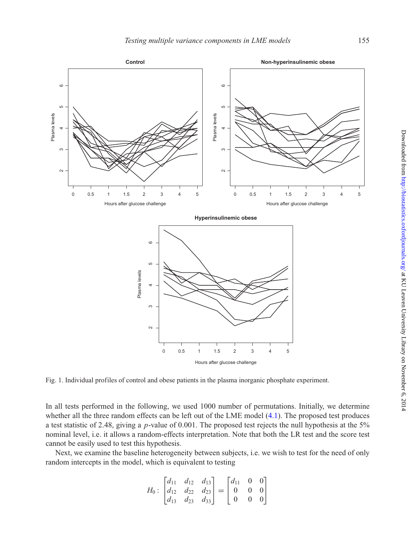

<span id="page-11-0"></span>Fig. 1. Individual profiles of control and obese patients in the plasma inorganic phosphate experiment.

In all tests performed in the following, we used 1000 number of permutations. Initially, we determine whether all the three random effects can be left out of the LME model [\(4.1\)](#page-10-0). The proposed test produces a test statistic of 2.48, giving a *p*-value of 0.001. The proposed test rejects the null hypothesis at the 5% nominal level, i.e. it allows a random-effects interpretation. Note that both the LR test and the score test cannot be easily used to test this hypothesis.

Next, we examine the baseline heterogeneity between subjects, i.e. we wish to test for the need of only random intercepts in the model, which is equivalent to testing

$$
H_0: \begin{bmatrix} d_{11} & d_{12} & d_{13} \\ d_{12} & d_{22} & d_{23} \\ d_{13} & d_{23} & d_{33} \end{bmatrix} = \begin{bmatrix} d_{11} & 0 & 0 \\ 0 & 0 & 0 \\ 0 & 0 & 0 \end{bmatrix}
$$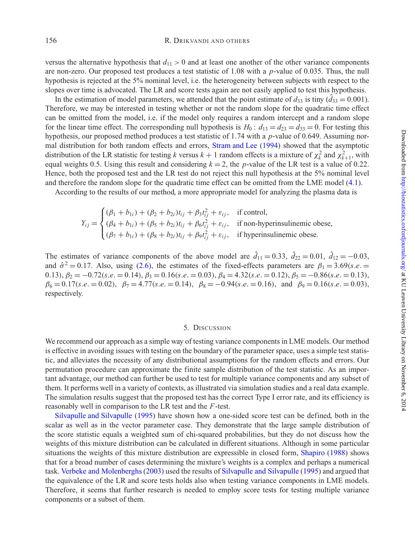versus the alternative hypothesis that  $d_{11} > 0$  and at least one another of the other variance components are non-zero. Our proposed test produces a test statistic of 1.08 with a *p*-value of 0.035. Thus, the null hypothesis is rejected at the 5% nominal level, i.e. the heterogeneity between subjects with respect to the slopes over time is advocated. The LR and score tests again are not easily applied to test this hypothesis.

In the estimation of model parameters, we attended that the point estimate of  $d_{33}$  is tiny ( $\hat{d}_{33} = 0.001$ ). Therefore, we may be interested in testing whether or not the random slope for the quadratic time effect can be omitted from the model, i.e. if the model only requires a random intercept and a random slope for the linear time effect. The corresponding null hypothesis is  $H_0: d_{13} = d_{23} = d_{33} = 0$ . For testing this hypothesis, our proposed method produces a test statistic of 1.74 with a *p*-value of 0.649. Assuming normal distribution for both random effects and errors, [Stram and Lee](#page-15-1) [\(1994\)](#page-15-1) showed that the asymptotic distribution of the LR statistic for testing *k* versus  $k + 1$  random effects is a mixture of  $\chi_k^2$  and  $\chi_{k+1}^2$ , with equal weights 0.5. Using this result and considering  $k = 2$ , the *p*-value of the LR test is a value of 0.22. Hence, both the proposed test and the LR test do not reject this null hypothesis at the 5% nominal level and therefore the random slope for the quadratic time effect can be omitted from the LME model [\(4.1\)](#page-10-0).

According to the results of our method, a more appropriate model for analyzing the plasma data is

$$
Y_{ij} = \begin{cases} (\beta_1 + b_{1i}) + (\beta_2 + b_{2i})t_{ij} + \beta_3 t_{ij}^2 + \varepsilon_{ij}, & \text{if control,} \\ (\beta_4 + b_{1i}) + (\beta_5 + b_{2i})t_{ij} + \beta_6 t_{ij}^2 + \varepsilon_{ij}, & \text{if non-hyperinsulinemic obese,} \\ (\beta_7 + b_{1i}) + (\beta_8 + b_{2i})t_{ij} + \beta_9 t_{ij}^2 + \varepsilon_{ij}, & \text{if hyperinsulinemic obese.} \end{cases}
$$

The estimates of variance components of the above model are  $\hat{d}_{11} = 0.33$ ,  $\hat{d}_{22} = 0.01$ ,  $\hat{d}_{12} = -0.03$ , and  $\hat{\sigma}^2 = 0.17$ . Also, using [\(2.6\)](#page-3-2), the estimates of the fixed-effects parameters are  $\beta_1 = 3.69$ (*s.e.* = 0.13),  $\beta_2 = -0.72$ (*s.e.* = 0.14),  $\beta_3 = 0.16$ (*s.e.* = 0.03),  $\beta_4 = 4.32$ (*s.e.* = 0.12),  $\beta_5 = -0.86$ (*s.e.* = 0.13),  $\beta_6 = 0.17$ (*s.e.* = 0.02),  $\beta_7 = 4.77$ (*s.e.* = 0.14),  $\beta_8 = -0.94$ (*s.e.* = 0.16), and  $\beta_9 = 0.16$ (*s.e.* = 0.03), respectively.

#### 5. DISCUSSION

We recommend our approach as a simple way of testing variance components in LME models. Our method is effective in avoiding issues with testing on the boundary of the parameter space, uses a simple test statistic, and alleviates the necessity of any distributional assumptions for the random effects and errors. Our permutation procedure can approximate the finite sample distribution of the test statistic. As an important advantage, our method can further be used to test for multiple variance components and any subset of them. It performs well in a variety of contexts, as illustrated via simulation studies and a real data example. The simulation results suggest that the proposed test has the correct Type I error rate, and its efficiency is reasonably well in comparison to the LR test and the *F*-test.

[Silvapulle and Silvapulle](#page-15-11) [\(1995](#page-15-11)) have shown how a one-sided score test can be defined, both in the scalar as well as in the vector parameter case. They demonstrate that the large sample distribution of the score statistic equals a weighted sum of chi-squared probabilities, but they do not discuss how the weights of this mixture distribution can be calculated in different situations. Although in some particular situations the weights of this mixture distribution are expressible in closed form, [Shapiro](#page-15-12) [\(1988\)](#page-15-12) shows that for a broad number of cases determining the mixture's weights is a complex and perhaps a numerical task. [Verbeke and Molenberghs](#page-15-2) [\(2003](#page-15-2)) used the results of [Silvapulle and Silvapulle](#page-15-11) [\(1995](#page-15-11)) and argued that the equivalence of the LR and score tests holds also when testing variance components in LME models. Therefore, it seems that further research is needed to employ score tests for testing multiple variance components or a subset of them.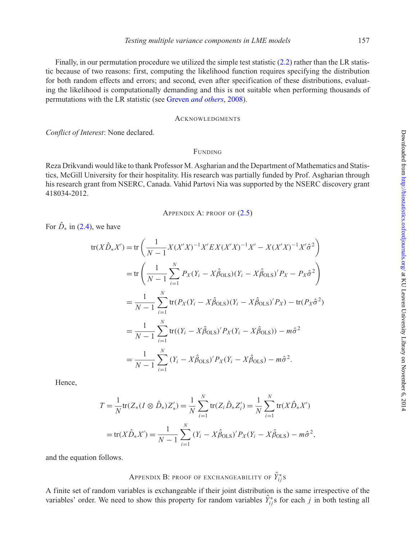Finally, in our permutation procedure we utilized the simple test statistic [\(2.2\)](#page-2-0) rather than the LR statistic because of two reasons: first, computing the likelihood function requires specifying the distribution for both random effects and errors; and second, even after specification of these distributions, evaluating the likelihood is computationally demanding and this is not suitable when performing thousands of permutations with the LR statistic (see Greven *[and others](#page-14-13)*, [2008\)](#page-14-13).

#### **ACKNOWLEDGMENTS**

*Conflict of Interest*: None declared.

#### FUNDING

Reza Drikvandi would like to thank Professor M. Asgharian and the Department of Mathematics and Statistics, McGill University for their hospitality. His research was partially funded by Prof. Asgharian through his research grant from NSERC, Canada. Vahid Partovi Nia was supported by the NSERC discovery grant 418034-2012.

APPENDIX A: PROOF OF [\(2.5\)](#page-3-1)

For  $\hat{D}_*$  in [\(2.4\)](#page-3-0), we have

$$
\begin{split} \text{tr}(X\hat{D}_{*}X') &= \text{tr}\left(\frac{1}{N-1}X(X'X)^{-1}X'EX(X'X)^{-1}X' - X(X'X)^{-1}X'\hat{\sigma}^{2}\right) \\ &= \text{tr}\left(\frac{1}{N-1}\sum_{i=1}^{N}P_{X}(Y_{i} - X\hat{\beta}_{\text{OLS}})(Y_{i} - X\hat{\beta}_{\text{OLS}})'P_{X} - P_{X}\hat{\sigma}^{2}\right) \\ &= \frac{1}{N-1}\sum_{i=1}^{N}\text{tr}(P_{X}(Y_{i} - X\hat{\beta}_{\text{OLS}})(Y_{i} - X\hat{\beta}_{\text{OLS}})'P_{X}) - \text{tr}(P_{X}\hat{\sigma}^{2}) \\ &= \frac{1}{N-1}\sum_{i=1}^{N}\text{tr}((Y_{i} - X\hat{\beta}_{\text{OLS}})'P_{X}(Y_{i} - X\hat{\beta}_{\text{OLS}})) - m\hat{\sigma}^{2} \\ &= \frac{1}{N-1}\sum_{i=1}^{N}(Y_{i} - X\hat{\beta}_{\text{OLS}})'P_{X}(Y_{i} - X\hat{\beta}_{\text{OLS}}) - m\hat{\sigma}^{2} .\end{split}
$$

Hence,

$$
T = \frac{1}{N} \text{tr}(Z_*(I \otimes \hat{D}_*) Z'_*) = \frac{1}{N} \sum_{i=1}^N \text{tr}(Z_i \hat{D}_* Z'_i) = \frac{1}{N} \sum_{i=1}^N \text{tr}(X \hat{D}_* X')
$$
  
= tr(X \hat{D}\_\* X') =  $\frac{1}{N-1} \sum_{i=1}^N (Y_i - X \hat{\beta}_{OLS})' P_X(Y_i - X \hat{\beta}_{OLS}) - m \hat{\sigma}^2$ ,

and the equation follows.

# Appendix B: proof of exchangeability of  $\hat{Y}_{ij}^*$ s

A finite set of random variables is exchangeable if their joint distribution is the same irrespective of the variables' order. We need to show this property for random variables  $\hat{Y}_{ij}^*$ s for each *j* in both testing all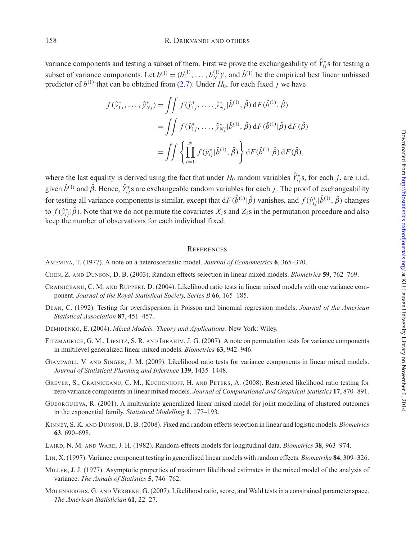variance components and testing a subset of them. First we prove the exchangeability of  $\hat{Y}_{ij}^*$ s for testing a subset of variance components. Let  $b^{(1)} = (b_1^{(1)}, \ldots, b_N^{(1)})'$ , and  $\hat{b}^{(1)}$  be the empirical best linear unbiased predictor of  $b^{(1)}$  that can be obtained from [\(2.7\)](#page-3-3). Under  $H_0$ , for each fixed *j* we have

$$
f(\hat{y}_{1j}^*, \dots, \hat{y}_{Nj}^*) = \iint f(\hat{y}_{1j}^*, \dots, \hat{y}_{Nj}^* | \hat{b}^{(1)}, \hat{\beta}) dF(\hat{b}^{(1)}, \hat{\beta})
$$
  
= 
$$
\iint f(\hat{y}_{1j}^*, \dots, \hat{y}_{Nj}^* | \hat{b}^{(1)}, \hat{\beta}) dF(\hat{b}^{(1)} | \hat{\beta}) dF(\hat{\beta})
$$
  
= 
$$
\iint \left\{ \prod_{i=1}^N f(\hat{y}_{ij}^* | \hat{b}^{(1)}, \hat{\beta}) \right\} dF(\hat{b}^{(1)} | \hat{\beta}) dF(\hat{\beta}),
$$

where the last equality is derived using the fact that under  $H_0$  random variables  $\hat{Y}_{ij}^*$ s, for each *j*, are i.i.d. given  $\hat{b}^{(1)}$  and  $\hat{\beta}$ . Hence,  $\hat{Y}_{ij}^*$ s are exchangeable random variables for each *j*. The proof of exchangeability for testing all variance components is similar, except that  $dF(\hat{b}^{(1)}|\hat{\beta})$  vanishes, and  $f(\hat{y}_{ij}^*|\hat{b}^{(1)}, \hat{\beta})$  changes to  $f(\hat{y}_{ij}^*|\hat{\beta})$ . Note that we do not permute the covariates  $X_i$ s and  $Z_i$ s in the permutation procedure and also keep the number of observations for each individual fixed.

### **REFERENCES**

- <span id="page-14-12"></span>AMEMIYA, T. (1977). A note on a heteroscedastic model. *Journal of Econometrics* **6**, 365–370.
- <span id="page-14-10"></span>CHEN, Z. AND DUNSON, D. B. (2003). Random effects selection in linear mixed models. *Biometrics* **59**, 762–769.
- <span id="page-14-9"></span>CRAINICEANU, C. M. AND RUPPERT, D. (2004). Likelihood ratio tests in linear mixed models with one variance component. *Journal of the Royal Statistical Society, Series B* **66**, 165–185.
- <span id="page-14-6"></span>DEAN, C. (1992). Testing for overdispersion in Poisson and binomial regression models. *Journal of the American Statistical Association* **87**, 451–457.
- <span id="page-14-2"></span>DEMIDENKO, E. (2004). *Mixed Models: Theory and Applications*. New York: Wiley.
- <span id="page-14-8"></span>FITZMAURICE, G. M., LIPSITZ, S. R. AND IBRAHIM, J. G. (2007). A note on permutation tests for variance components in multilevel generalized linear mixed models. *Biometrics* **63**, 942–946.
- <span id="page-14-4"></span>GIAMPAOLI, V. AND SINGER, J. M. (2009). Likelihood ratio tests for variance components in linear mixed models. *Journal of Statistical Planning and Inference* **139**, 1435–1448.
- <span id="page-14-13"></span>GREVEN, S., CRAINICEANU, C. M., KUCHENHOFF, H. AND PETERS, A. (2008). Restricted likelihood ratio testing for zero variance components in linear mixed models. *Journal of Computational and Graphical Statistics* **17**, 870–891.
- <span id="page-14-7"></span>GUEORGUIEVA, R. (2001). A multivariate generalized linear mixed model for joint modelling of clustered outcomes in the exponential family. *Statistical Modelling* **1**, 177–193.
- <span id="page-14-11"></span>KINNEY, S. K. AND DUNSON, D. B. (2008). Fixed and random effects selection in linear and logistic models. *Biometrics* **63**, 690–698.
- <span id="page-14-0"></span>LAIRD, N. M. AND WARE, J. H. (1982). Random-effects models for longitudinal data. *Biometrics* **38**, 963–974.
- <span id="page-14-1"></span>LIN, X. (1997). Variance component testing in generalised linear models with random effects. *Biometrika* **84**, 309–326.
- <span id="page-14-5"></span>MILLER, J. J. (1977). Asymptotic properties of maximum likelihood estimates in the mixed model of the analysis of variance. *The Annals of Statistics* **5**, 746–762.
- <span id="page-14-3"></span>MOLENBERGHS, G. AND VERBEKE, G. (2007). Likelihood ratio, score, and Wald tests in a constrained parameter space. *The American Statistician* **61**, 22–27.